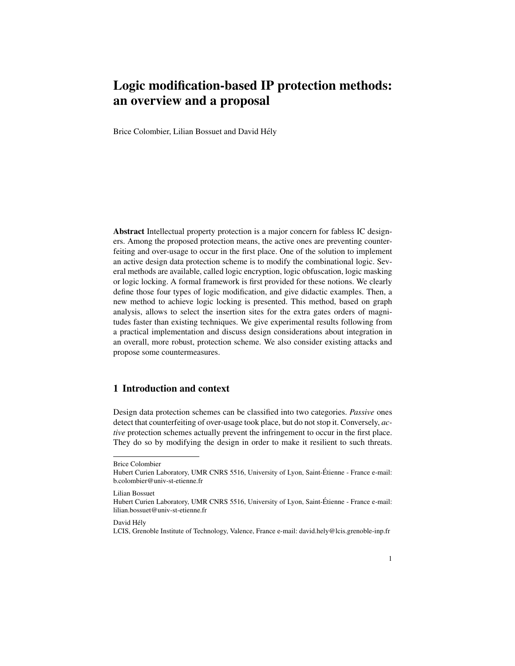# Logic modification-based IP protection methods: an overview and a proposal

Brice Colombier, Lilian Bossuet and David Hely ´

Abstract Intellectual property protection is a major concern for fabless IC designers. Among the proposed protection means, the active ones are preventing counterfeiting and over-usage to occur in the first place. One of the solution to implement an active design data protection scheme is to modify the combinational logic. Several methods are available, called logic encryption, logic obfuscation, logic masking or logic locking. A formal framework is first provided for these notions. We clearly define those four types of logic modification, and give didactic examples. Then, a new method to achieve logic locking is presented. This method, based on graph analysis, allows to select the insertion sites for the extra gates orders of magnitudes faster than existing techniques. We give experimental results following from a practical implementation and discuss design considerations about integration in an overall, more robust, protection scheme. We also consider existing attacks and propose some countermeasures.

## 1 Introduction and context

Design data protection schemes can be classified into two categories. *Passive* ones detect that counterfeiting of over-usage took place, but do not stop it. Conversely, *active* protection schemes actually prevent the infringement to occur in the first place. They do so by modifying the design in order to make it resilient to such threats.

Lilian Bossuet

David Hély

LCIS, Grenoble Institute of Technology, Valence, France e-mail: david.hely@lcis.grenoble-inp.fr

Brice Colombier

Hubert Curien Laboratory, UMR CNRS 5516, University of Lyon, Saint-Etienne - France e-mail: ´ b.colombier@univ-st-etienne.fr

Hubert Curien Laboratory, UMR CNRS 5516, University of Lyon, Saint-Etienne - France e-mail: ´ lilian.bossuet@univ-st-etienne.fr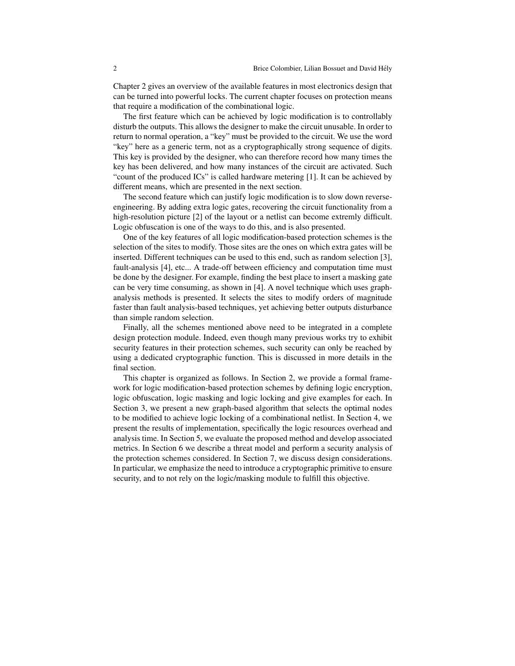Chapter 2 gives an overview of the available features in most electronics design that can be turned into powerful locks. The current chapter focuses on protection means that require a modification of the combinational logic.

The first feature which can be achieved by logic modification is to controllably disturb the outputs. This allows the designer to make the circuit unusable. In order to return to normal operation, a "key" must be provided to the circuit. We use the word "key" here as a generic term, not as a cryptographically strong sequence of digits. This key is provided by the designer, who can therefore record how many times the key has been delivered, and how many instances of the circuit are activated. Such "count of the produced ICs" is called hardware metering [1]. It can be achieved by different means, which are presented in the next section.

The second feature which can justify logic modification is to slow down reverseengineering. By adding extra logic gates, recovering the circuit functionality from a high-resolution picture [2] of the layout or a netlist can become extremly difficult. Logic obfuscation is one of the ways to do this, and is also presented.

One of the key features of all logic modification-based protection schemes is the selection of the sites to modify. Those sites are the ones on which extra gates will be inserted. Different techniques can be used to this end, such as random selection [3], fault-analysis [4], etc... A trade-off between efficiency and computation time must be done by the designer. For example, finding the best place to insert a masking gate can be very time consuming, as shown in [4]. A novel technique which uses graphanalysis methods is presented. It selects the sites to modify orders of magnitude faster than fault analysis-based techniques, yet achieving better outputs disturbance than simple random selection.

Finally, all the schemes mentioned above need to be integrated in a complete design protection module. Indeed, even though many previous works try to exhibit security features in their protection schemes, such security can only be reached by using a dedicated cryptographic function. This is discussed in more details in the final section.

This chapter is organized as follows. In Section 2, we provide a formal framework for logic modification-based protection schemes by defining logic encryption, logic obfuscation, logic masking and logic locking and give examples for each. In Section 3, we present a new graph-based algorithm that selects the optimal nodes to be modified to achieve logic locking of a combinational netlist. In Section 4, we present the results of implementation, specifically the logic resources overhead and analysis time. In Section 5, we evaluate the proposed method and develop associated metrics. In Section 6 we describe a threat model and perform a security analysis of the protection schemes considered. In Section 7, we discuss design considerations. In particular, we emphasize the need to introduce a cryptographic primitive to ensure security, and to not rely on the logic/masking module to fulfill this objective.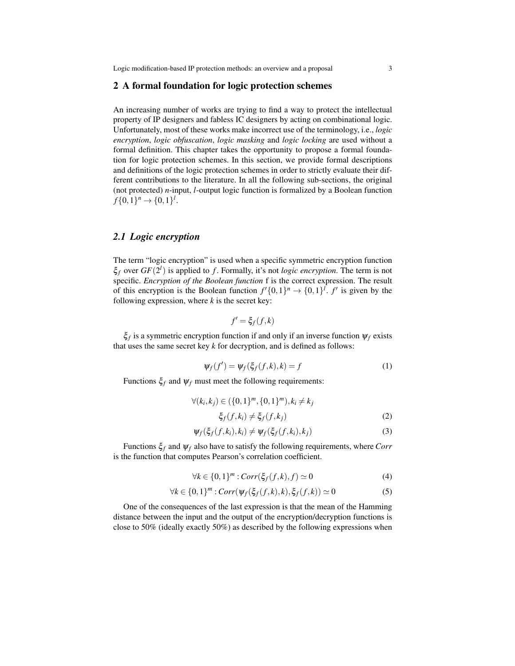#### 2 A formal foundation for logic protection schemes

An increasing number of works are trying to find a way to protect the intellectual property of IP designers and fabless IC designers by acting on combinational logic. Unfortunately, most of these works make incorrect use of the terminology, i.e., *logic encryption*, *logic obfuscation*, *logic masking* and *logic locking* are used without a formal definition. This chapter takes the opportunity to propose a formal foundation for logic protection schemes. In this section, we provide formal descriptions and definitions of the logic protection schemes in order to strictly evaluate their different contributions to the literature. In all the following sub-sections, the original (not protected) *n*-input, *l*-output logic function is formalized by a Boolean function  $f\{0,1\}^n \to \{0,1\}^l$ .

## *2.1 Logic encryption*

The term "logic encryption" is used when a specific symmetric encryption function ξ*<sup>f</sup>* over *GF*(2 *l* ) is applied to *f* . Formally, it's not *logic encryption*. The term is not specific. *Encryption of the Boolean function* f is the correct expression. The result of this encryption is the Boolean function  $f'(0,1)^n \rightarrow \{0,1\}^l$ .  $f'$  is given by the following expression, where  $k$  is the secret key:

$$
f' = \xi_f(f, k)
$$

ξ*f* is a symmetric encryption function if and only if an inverse function ψ*<sup>f</sup>* exists that uses the same secret key *k* for decryption, and is defined as follows:

$$
\psi_f(f') = \psi_f(\xi_f(f, k), k) = f \tag{1}
$$

Functions  $\xi_f$  and  $\psi_f$  must meet the following requirements:

$$
\forall (k_i, k_j) \in (\{0, 1\}^m, \{0, 1\}^m), k_i \neq k_j
$$
  

$$
\xi_f(f, k_i) \neq \xi_f(f, k_j)
$$
 (2)

$$
\psi_f(\xi_f(f,k_i),k_i) \neq \psi_f(\xi_f(f,k_i),k_j)
$$
\n(3)

Functions ξ*<sup>f</sup>* and ψ*<sup>f</sup>* also have to satisfy the following requirements, where *Corr* is the function that computes Pearson's correlation coefficient.

$$
\forall k \in \{0,1\}^m : Corr(\xi_f(f,k), f) \simeq 0 \tag{4}
$$

$$
\forall k \in \{0,1\}^m : Corr(\psi_f(\xi_f(f,k),k), \xi_f(f,k)) \simeq 0 \tag{5}
$$

One of the consequences of the last expression is that the mean of the Hamming distance between the input and the output of the encryption/decryption functions is close to 50% (ideally exactly 50%) as described by the following expressions when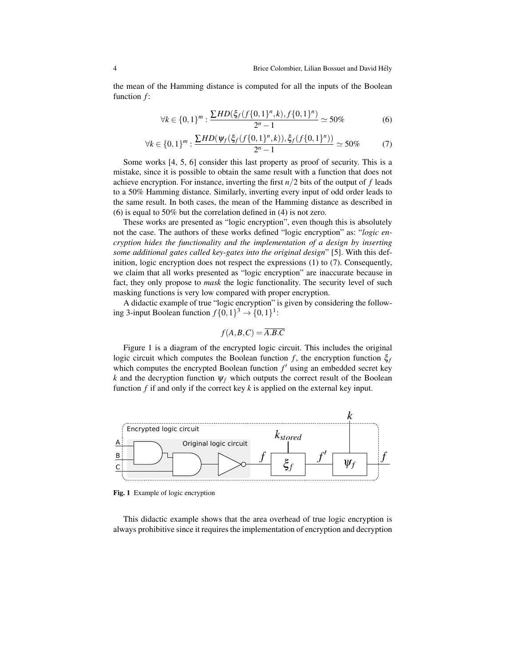the mean of the Hamming distance is computed for all the inputs of the Boolean function  $f$ :

$$
\forall k \in \{0, 1\}^m : \frac{\sum HD(\xi_f(f\{0, 1\}^n, k), f\{0, 1\}^n)}{2^n - 1} \simeq 50\%
$$
 (6)

$$
\forall k \in \{0, 1\}^m : \frac{\sum HD(\psi_f(\xi_f(f\{0, 1\}^n, k)), \xi_f(f\{0, 1\}^n))}{2^n - 1} \simeq 50\% \tag{7}
$$

Some works [4, 5, 6] consider this last property as proof of security. This is a mistake, since it is possible to obtain the same result with a function that does not achieve encryption. For instance, inverting the first  $n/2$  bits of the output of f leads to a 50% Hamming distance. Similarly, inverting every input of odd order leads to the same result. In both cases, the mean of the Hamming distance as described in (6) is equal to 50% but the correlation defined in (4) is not zero.

These works are presented as "logic encryption", even though this is absolutely not the case. The authors of these works defined "logic encryption" as: "*logic encryption hides the functionality and the implementation of a design by inserting some additional gates called key-gates into the original design*" [5]. With this definition, logic encryption does not respect the expressions (1) to (7). Consequently, we claim that all works presented as "logic encryption" are inaccurate because in fact, they only propose to *mask* the logic functionality. The security level of such masking functions is very low compared with proper encryption.

A didactic example of true "logic encryption" is given by considering the following 3-input Boolean function  $f\{0,1\}^3 \rightarrow \{0,1\}^1$ :

$$
f(A, B, C) = \overline{A.B.C}
$$

Figure 1 is a diagram of the encrypted logic circuit. This includes the original logic circuit which computes the Boolean function  $f$ , the encryption function  $\xi_f$ which computes the encrypted Boolean function  $f'$  using an embedded secret key *k* and the decryption function  $\psi_f$  which outputs the correct result of the Boolean function *f* if and only if the correct key *k* is applied on the external key input.



Fig. 1 Example of logic encryption

This didactic example shows that the area overhead of true logic encryption is always prohibitive since it requires the implementation of encryption and decryption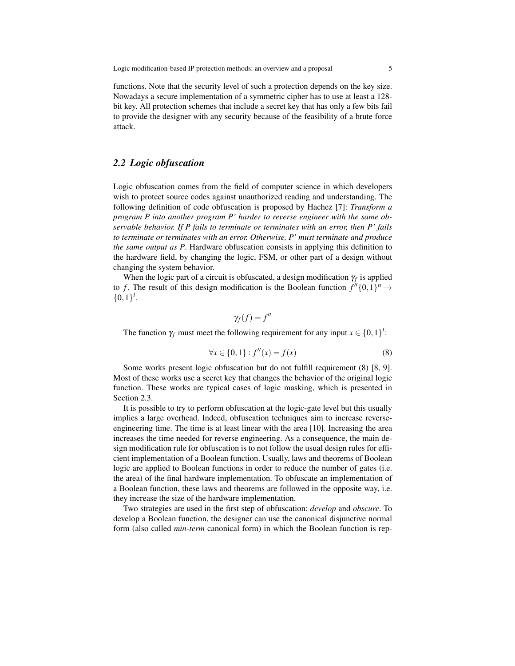functions. Note that the security level of such a protection depends on the key size. Nowadays a secure implementation of a symmetric cipher has to use at least a 128 bit key. All protection schemes that include a secret key that has only a few bits fail to provide the designer with any security because of the feasibility of a brute force attack.

## *2.2 Logic obfuscation*

Logic obfuscation comes from the field of computer science in which developers wish to protect source codes against unauthorized reading and understanding. The following definition of code obfuscation is proposed by Hachez [7]: *Transform a program P into another program P' harder to reverse engineer with the same observable behavior. If P fails to terminate or terminates with an error, then P' fails to terminate or terminates with an error. Otherwise, P' must terminate and produce the same output as P*. Hardware obfuscation consists in applying this definition to the hardware field, by changing the logic, FSM, or other part of a design without changing the system behavior.

When the logic part of a circuit is obfuscated, a design modification  $\gamma_f$  is applied to *f*. The result of this design modification is the Boolean function  $f''\{0,1\}^n \rightarrow$  ${0,1}^l$ .

$$
\gamma_f(f)=f''
$$

The function  $\gamma_f$  must meet the following requirement for any input  $x \in \{0,1\}^l$ :

$$
\forall x \in \{0, 1\} : f''(x) = f(x) \tag{8}
$$

Some works present logic obfuscation but do not fulfill requirement (8) [8, 9]. Most of these works use a secret key that changes the behavior of the original logic function. These works are typical cases of logic masking, which is presented in Section 2.3.

It is possible to try to perform obfuscation at the logic-gate level but this usually implies a large overhead. Indeed, obfuscation techniques aim to increase reverseengineering time. The time is at least linear with the area [10]. Increasing the area increases the time needed for reverse engineering. As a consequence, the main design modification rule for obfuscation is to not follow the usual design rules for efficient implementation of a Boolean function. Usually, laws and theorems of Boolean logic are applied to Boolean functions in order to reduce the number of gates (i.e. the area) of the final hardware implementation. To obfuscate an implementation of a Boolean function, these laws and theorems are followed in the opposite way, i.e. they increase the size of the hardware implementation.

Two strategies are used in the first step of obfuscation: *develop* and *obscure*. To develop a Boolean function, the designer can use the canonical disjunctive normal form (also called *min-term* canonical form) in which the Boolean function is rep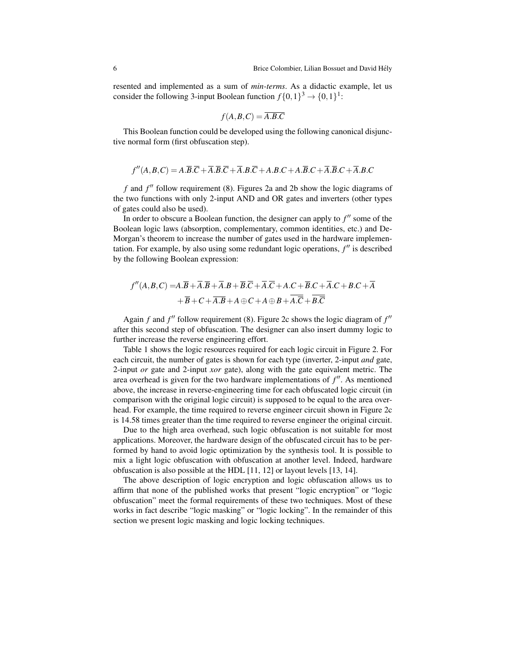resented and implemented as a sum of *min-terms*. As a didactic example, let us consider the following 3-input Boolean function  $f\{0,1\}^3 \rightarrow \{0,1\}^1$ :

$$
f(A, B, C) = \overline{A.B.C}
$$

This Boolean function could be developed using the following canonical disjunctive normal form (first obfuscation step).

$$
f''(A, B, C) = A.\overline{B}.\overline{C} + \overline{A}.\overline{B}.\overline{C} + \overline{A}.\overline{B}.\overline{C} + A.\overline{B}.\overline{C} + A.\overline{B}.\overline{C} + \overline{A}.\overline{B}.\overline{C} + \overline{A}.\overline{B}.\overline{C} + \overline{A}.\overline{B}.\overline{C}
$$

*f* and  $f''$  follow requirement (8). Figures 2a and 2b show the logic diagrams of the two functions with only 2-input AND and OR gates and inverters (other types of gates could also be used).

In order to obscure a Boolean function, the designer can apply to  $f''$  some of the Boolean logic laws (absorption, complementary, common identities, etc.) and De-Morgan's theorem to increase the number of gates used in the hardware implementation. For example, by also using some redundant logic operations,  $f''$  is described by the following Boolean expression:

$$
f''(A,B,C) = A.\overline{B} + \overline{A}.\overline{B} + \overline{A}.\overline{B} + \overline{B}.\overline{C} + \overline{A}.\overline{C} + A.C + \overline{B}.\overline{C} + \overline{A}.\overline{C} + B.C + \overline{A}.\overline{C} + B.C + \overline{A}.\overline{C} + \overline{B}.\overline{C} + \overline{B}.\overline{C} + \overline{B}.\overline{C} + \overline{B}.\overline{C}
$$

Again  $f$  and  $f''$  follow requirement (8). Figure 2c shows the logic diagram of  $f''$ after this second step of obfuscation. The designer can also insert dummy logic to further increase the reverse engineering effort.

Table 1 shows the logic resources required for each logic circuit in Figure 2. For each circuit, the number of gates is shown for each type (inverter, 2-input *and* gate, 2-input *or* gate and 2-input *xor* gate), along with the gate equivalent metric. The area overhead is given for the two hardware implementations of  $f''$ . As mentioned above, the increase in reverse-engineering time for each obfuscated logic circuit (in comparison with the original logic circuit) is supposed to be equal to the area overhead. For example, the time required to reverse engineer circuit shown in Figure 2c is 14.58 times greater than the time required to reverse engineer the original circuit.

Due to the high area overhead, such logic obfuscation is not suitable for most applications. Moreover, the hardware design of the obfuscated circuit has to be performed by hand to avoid logic optimization by the synthesis tool. It is possible to mix a light logic obfuscation with obfuscation at another level. Indeed, hardware obfuscation is also possible at the HDL [11, 12] or layout levels [13, 14].

The above description of logic encryption and logic obfuscation allows us to affirm that none of the published works that present "logic encryption" or "logic obfuscation" meet the formal requirements of these two techniques. Most of these works in fact describe "logic masking" or "logic locking". In the remainder of this section we present logic masking and logic locking techniques.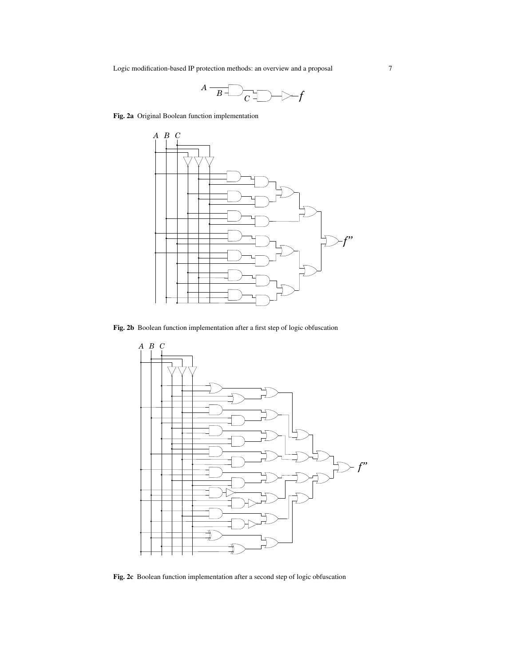Logic modification-based IP protection methods: an overview and a proposal 7



Fig. 2a Original Boolean function implementation



Fig. 2b Boolean function implementation after a first step of logic obfuscation



Fig. 2c Boolean function implementation after a second step of logic obfuscation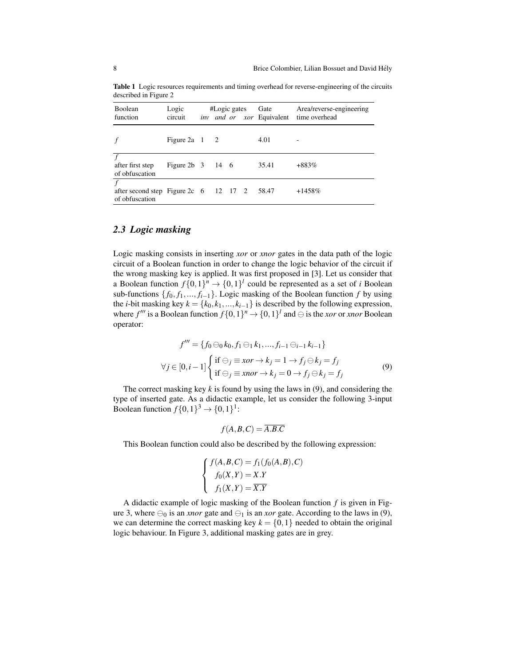| <b>Boolean</b><br>function                                | Logic<br>circuit       | #Logic gates |  | Gate  | Area/reverse-engineering<br>inv and or xor Equivalent time overhead |
|-----------------------------------------------------------|------------------------|--------------|--|-------|---------------------------------------------------------------------|
|                                                           | Figure 2a $1 \quad 2$  |              |  | 4.01  |                                                                     |
| after first step<br>of obfuscation                        | Figure 2b $3 \t14 \t6$ |              |  | 35.41 | $+883%$                                                             |
| after second step Figure 2c $6$ 12 17 2<br>of obfuscation |                        |              |  | 58.47 | $+1458%$                                                            |

Table 1 Logic resources requirements and timing overhead for reverse-engineering of the circuits described in Figure 2

# *2.3 Logic masking*

Logic masking consists in inserting *xor* or *xnor* gates in the data path of the logic circuit of a Boolean function in order to change the logic behavior of the circuit if the wrong masking key is applied. It was first proposed in [3]. Let us consider that a Boolean function  $f\{0,1\}^n \rightarrow \{0,1\}^l$  could be represented as a set of *i* Boolean sub-functions  $\{f_0, f_1, \ldots, f_{i-1}\}$ . Logic masking of the Boolean function *f* by using the *i*-bit masking key  $k = \{k_0, k_1, ..., k_{i-1}\}$  is described by the following expression, where  $f'''$  is a Boolean function  $f\{0,1\}^n \to \{0,1\}^l$  and  $\ominus$  is the *xor* or *xnor* Boolean operator:

$$
f''' = \{f_0 \ominus_0 k_0, f_1 \ominus_1 k_1, ..., f_{i-1} \ominus_{i-1} k_{i-1}\}
$$
  

$$
\forall j \in [0, i-1] \left\{ \begin{aligned} &\text{if } \ominus_j \equiv x \text{ or } \rightarrow k_j = 1 \rightarrow f_j \ominus k_j = f_j \\ &\text{if } \ominus_j \equiv x \text{ nor } \rightarrow k_j = 0 \rightarrow f_j \ominus k_j = f_j \end{aligned} \right. \tag{9}
$$

The correct masking key  $k$  is found by using the laws in  $(9)$ , and considering the type of inserted gate. As a didactic example, let us consider the following 3-input Boolean function  $f\{0,1\}^3 \rightarrow \{0,1\}^1$ :

$$
f(A, B, C) = \overline{A.B.C}
$$

This Boolean function could also be described by the following expression:

$$
\begin{cases}\nf(A, B, C) = f_1(f_0(A, B), C) \\
f_0(X, Y) = X.Y \\
f_1(X, Y) = \overline{X.Y}\n\end{cases}
$$

A didactic example of logic masking of the Boolean function *f* is given in Figure 3, where  $\ominus_0$  is an *xnor* gate and  $\ominus_1$  is an *xor* gate. According to the laws in (9), we can determine the correct masking key  $k = \{0, 1\}$  needed to obtain the original logic behaviour. In Figure 3, additional masking gates are in grey.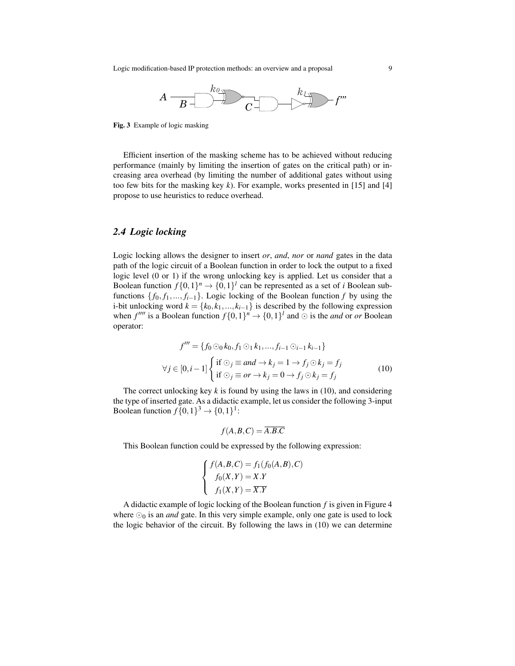Logic modification-based IP protection methods: an overview and a proposal 9



Fig. 3 Example of logic masking

Efficient insertion of the masking scheme has to be achieved without reducing performance (mainly by limiting the insertion of gates on the critical path) or increasing area overhead (by limiting the number of additional gates without using too few bits for the masking key *k*). For example, works presented in [15] and [4] propose to use heuristics to reduce overhead.

# *2.4 Logic locking*

Logic locking allows the designer to insert *or*, *and*, *nor* or *nand* gates in the data path of the logic circuit of a Boolean function in order to lock the output to a fixed logic level (0 or 1) if the wrong unlocking key is applied. Let us consider that a Boolean function  $f\{0,1\}^n \rightarrow \{0,1\}^l$  can be represented as a set of *i* Boolean subfunctions  $\{f_0, f_1, \ldots, f_{i-1}\}$ . Logic locking of the Boolean function *f* by using the i-bit unlocking word  $k = \{k_0, k_1, ..., k_{i-1}\}$  is described by the following expression when  $f^{\prime\prime\prime\prime}$  is a Boolean function  $f\{0,1\}^n \rightarrow \{0,1\}^l$  and  $\odot$  is the *and* or *or* Boolean operator:

$$
f''' = \{f_0 \odot_0 k_0, f_1 \odot_1 k_1, ..., f_{i-1} \odot_{i-1} k_{i-1}\}
$$
  

$$
\forall j \in [0, i-1] \left\{ \begin{aligned} &\text{if } \odot_j \equiv and \rightarrow k_j = 1 \rightarrow f_j \odot k_j = f_j \\ &\text{if } \odot_j \equiv or \rightarrow k_j = 0 \rightarrow f_j \odot k_j = f_j \end{aligned} \right. \tag{10}
$$

The correct unlocking key  $k$  is found by using the laws in  $(10)$ , and considering the type of inserted gate. As a didactic example, let us consider the following 3-input Boolean function  $f\{0,1\}^3 \rightarrow \{0,1\}^1$ :

$$
f(A, B, C) = \overline{A.B.C}
$$

This Boolean function could be expressed by the following expression:

$$
\begin{cases}\nf(A, B, C) = f_1(f_0(A, B), C) \\
f_0(X, Y) = X.Y \\
f_1(X, Y) = \overline{X.Y}\n\end{cases}
$$

A didactic example of logic locking of the Boolean function *f* is given in Figure 4 where  $\odot$ <sub>0</sub> is an *and* gate. In this very simple example, only one gate is used to lock the logic behavior of the circuit. By following the laws in (10) we can determine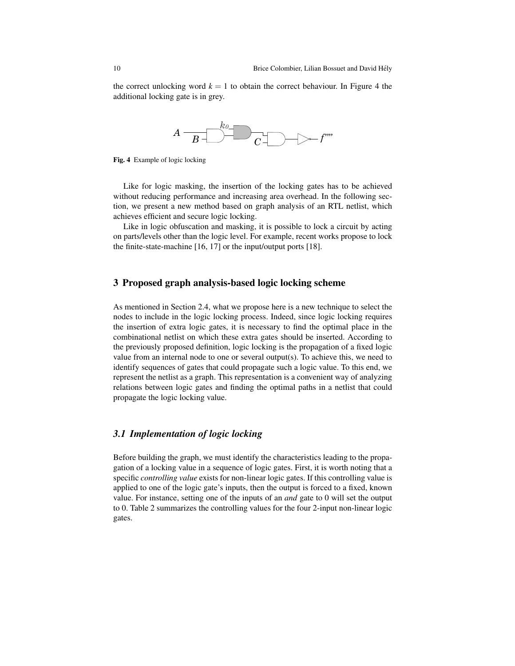the correct unlocking word  $k = 1$  to obtain the correct behaviour. In Figure 4 the additional locking gate is in grey.



Fig. 4 Example of logic locking

Like for logic masking, the insertion of the locking gates has to be achieved without reducing performance and increasing area overhead. In the following section, we present a new method based on graph analysis of an RTL netlist, which achieves efficient and secure logic locking.

Like in logic obfuscation and masking, it is possible to lock a circuit by acting on parts/levels other than the logic level. For example, recent works propose to lock the finite-state-machine [16, 17] or the input/output ports [18].

#### 3 Proposed graph analysis-based logic locking scheme

As mentioned in Section 2.4, what we propose here is a new technique to select the nodes to include in the logic locking process. Indeed, since logic locking requires the insertion of extra logic gates, it is necessary to find the optimal place in the combinational netlist on which these extra gates should be inserted. According to the previously proposed definition, logic locking is the propagation of a fixed logic value from an internal node to one or several output(s). To achieve this, we need to identify sequences of gates that could propagate such a logic value. To this end, we represent the netlist as a graph. This representation is a convenient way of analyzing relations between logic gates and finding the optimal paths in a netlist that could propagate the logic locking value.

# *3.1 Implementation of logic locking*

Before building the graph, we must identify the characteristics leading to the propagation of a locking value in a sequence of logic gates. First, it is worth noting that a specific *controlling value* exists for non-linear logic gates. If this controlling value is applied to one of the logic gate's inputs, then the output is forced to a fixed, known value. For instance, setting one of the inputs of an *and* gate to 0 will set the output to 0. Table 2 summarizes the controlling values for the four 2-input non-linear logic gates.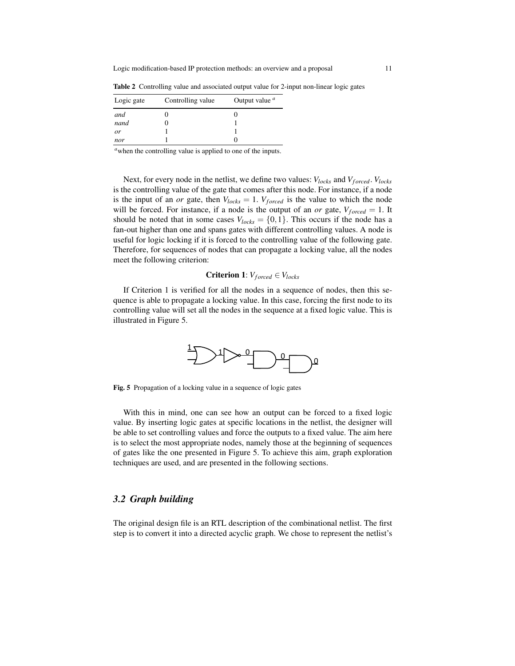| Logic gate | Controlling value | Output value $a$ |
|------------|-------------------|------------------|
| and        |                   |                  |
| nand       |                   |                  |
| or         |                   |                  |
| nor        |                   |                  |

Table 2 Controlling value and associated output value for 2-input non-linear logic gates

*<sup>a</sup>*when the controlling value is applied to one of the inputs.

Next, for every node in the netlist, we define two values:  $V_{locks}$  and  $V_{forced}$ .  $V_{locks}$ is the controlling value of the gate that comes after this node. For instance, if a node is the input of an *or* gate, then  $V_{locks} = 1$ .  $V_{forced}$  is the value to which the node will be forced. For instance, if a node is the output of an *or* gate,  $V_{forced} = 1$ . It should be noted that in some cases  $V_{locks} = \{0, 1\}$ . This occurs if the node has a fan-out higher than one and spans gates with different controlling values. A node is useful for logic locking if it is forced to the controlling value of the following gate. Therefore, for sequences of nodes that can propagate a locking value, all the nodes meet the following criterion:

# Criterion 1:  $V_{forced} \in V_{locks}$

If Criterion 1 is verified for all the nodes in a sequence of nodes, then this sequence is able to propagate a locking value. In this case, forcing the first node to its controlling value will set all the nodes in the sequence at a fixed logic value. This is illustrated in Figure 5.



Fig. 5 Propagation of a locking value in a sequence of logic gates

With this in mind, one can see how an output can be forced to a fixed logic value. By inserting logic gates at specific locations in the netlist, the designer will be able to set controlling values and force the outputs to a fixed value. The aim here is to select the most appropriate nodes, namely those at the beginning of sequences of gates like the one presented in Figure 5. To achieve this aim, graph exploration techniques are used, and are presented in the following sections.

## *3.2 Graph building*

The original design file is an RTL description of the combinational netlist. The first step is to convert it into a directed acyclic graph. We chose to represent the netlist's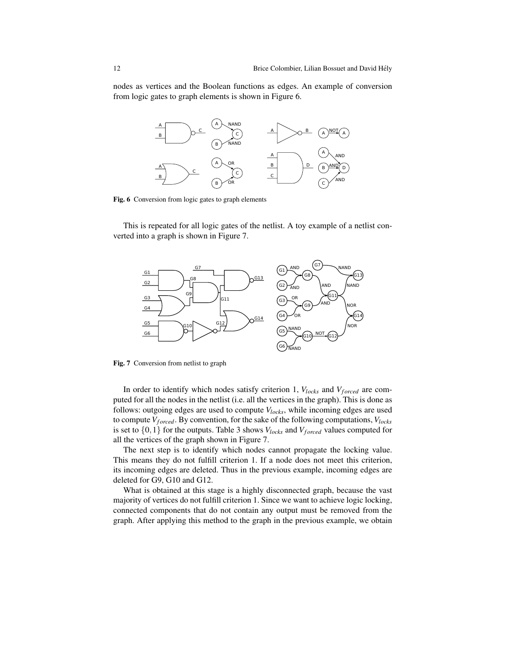nodes as vertices and the Boolean functions as edges. An example of conversion from logic gates to graph elements is shown in Figure 6.



Fig. 6 Conversion from logic gates to graph elements

This is repeated for all logic gates of the netlist. A toy example of a netlist converted into a graph is shown in Figure 7.



Fig. 7 Conversion from netlist to graph

In order to identify which nodes satisfy criterion 1,  $V_{locks}$  and  $V_{forced}$  are computed for all the nodes in the netlist (i.e. all the vertices in the graph). This is done as follows: outgoing edges are used to compute *Vlocks*, while incoming edges are used to compute  $V_{forced}$ . By convention, for the sake of the following computations,  $V_{locks}$ is set to  $\{0,1\}$  for the outputs. Table 3 shows  $V_{locks}$  and  $V_{forced}$  values computed for all the vertices of the graph shown in Figure 7.

The next step is to identify which nodes cannot propagate the locking value. This means they do not fulfill criterion 1. If a node does not meet this criterion, its incoming edges are deleted. Thus in the previous example, incoming edges are deleted for G9, G10 and G12.

What is obtained at this stage is a highly disconnected graph, because the vast majority of vertices do not fulfill criterion 1. Since we want to achieve logic locking, connected components that do not contain any output must be removed from the graph. After applying this method to the graph in the previous example, we obtain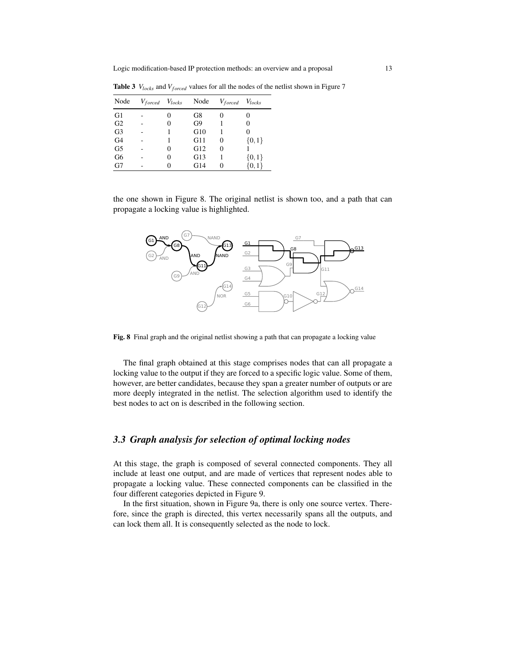| Node           | $V_{forced}$ | $V_{locks}$ | Node | $V_{forced}$ | $V_{locks}$  |
|----------------|--------------|-------------|------|--------------|--------------|
| G1             |              |             | G8   | 0            | $\mathbf{0}$ |
| G <sub>2</sub> |              |             | G9   |              | 0            |
| G <sub>3</sub> |              |             | G10  |              |              |
| G4             |              |             | G11  | 0            | $\{0,1\}$    |
| G5             |              |             | G12  | 0            |              |
| G <sub>6</sub> |              |             | G13  |              | $\{0,1\}$    |
| G7             |              |             | G14  | 0            | $\{0,1\}$    |

Table 3 *V*<sub>locks</sub> and *V*<sub>*forced*</sub> values for all the nodes of the netlist shown in Figure 7

the one shown in Figure 8. The original netlist is shown too, and a path that can propagate a locking value is highlighted.



Fig. 8 Final graph and the original netlist showing a path that can propagate a locking value

The final graph obtained at this stage comprises nodes that can all propagate a locking value to the output if they are forced to a specific logic value. Some of them, however, are better candidates, because they span a greater number of outputs or are more deeply integrated in the netlist. The selection algorithm used to identify the best nodes to act on is described in the following section.

## *3.3 Graph analysis for selection of optimal locking nodes*

At this stage, the graph is composed of several connected components. They all include at least one output, and are made of vertices that represent nodes able to propagate a locking value. These connected components can be classified in the four different categories depicted in Figure 9.

In the first situation, shown in Figure 9a, there is only one source vertex. Therefore, since the graph is directed, this vertex necessarily spans all the outputs, and can lock them all. It is consequently selected as the node to lock.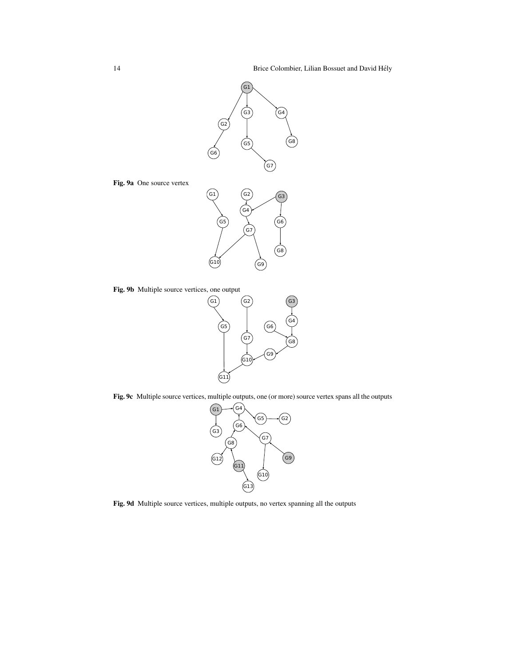

Fig. 9a One source vertex



Fig. 9b Multiple source vertices, one output



Fig. 9c Multiple source vertices, multiple outputs, one (or more) source vertex spans all the outputs



Fig. 9d Multiple source vertices, multiple outputs, no vertex spanning all the outputs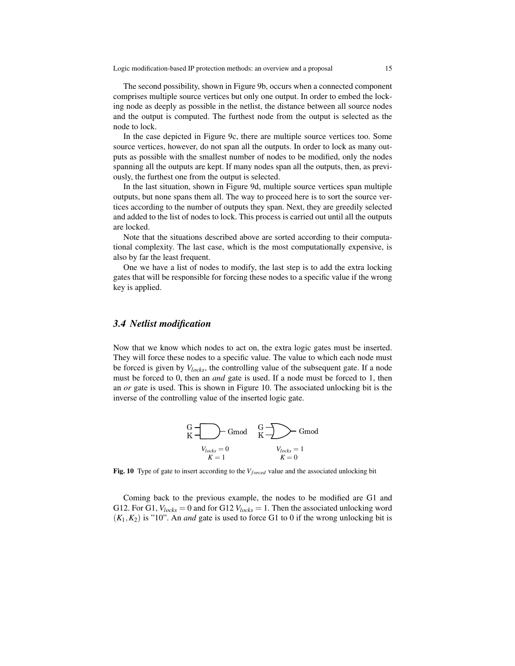The second possibility, shown in Figure 9b, occurs when a connected component comprises multiple source vertices but only one output. In order to embed the locking node as deeply as possible in the netlist, the distance between all source nodes and the output is computed. The furthest node from the output is selected as the node to lock.

In the case depicted in Figure 9c, there are multiple source vertices too. Some source vertices, however, do not span all the outputs. In order to lock as many outputs as possible with the smallest number of nodes to be modified, only the nodes spanning all the outputs are kept. If many nodes span all the outputs, then, as previously, the furthest one from the output is selected.

In the last situation, shown in Figure 9d, multiple source vertices span multiple outputs, but none spans them all. The way to proceed here is to sort the source vertices according to the number of outputs they span. Next, they are greedily selected and added to the list of nodes to lock. This process is carried out until all the outputs are locked.

Note that the situations described above are sorted according to their computational complexity. The last case, which is the most computationally expensive, is also by far the least frequent.

One we have a list of nodes to modify, the last step is to add the extra locking gates that will be responsible for forcing these nodes to a specific value if the wrong key is applied.

## *3.4 Netlist modification*

Now that we know which nodes to act on, the extra logic gates must be inserted. They will force these nodes to a specific value. The value to which each node must be forced is given by *Vlocks*, the controlling value of the subsequent gate. If a node must be forced to 0, then an *and* gate is used. If a node must be forced to 1, then an *or* gate is used. This is shown in Figure 10. The associated unlocking bit is the inverse of the controlling value of the inserted logic gate.



Fig. 10 Type of gate to insert according to the  $V_{forced}$  value and the associated unlocking bit

Coming back to the previous example, the nodes to be modified are G1 and G12. For G1,  $V_{locks} = 0$  and for G12  $V_{locks} = 1$ . Then the associated unlocking word  $(K_1, K_2)$  is "10". An *and* gate is used to force G1 to 0 if the wrong unlocking bit is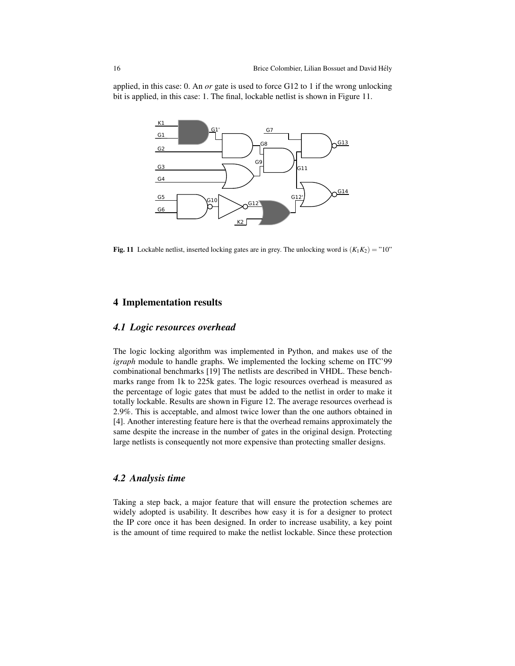applied, in this case: 0. An *or* gate is used to force G12 to 1 if the wrong unlocking bit is applied, in this case: 1. The final, lockable netlist is shown in Figure 11.



Fig. 11 Lockable netlist, inserted locking gates are in grey. The unlocking word is  $(K_1K_2) = "10"$ 

## 4 Implementation results

# *4.1 Logic resources overhead*

The logic locking algorithm was implemented in Python, and makes use of the *igraph* module to handle graphs. We implemented the locking scheme on ITC'99 combinational benchmarks [19] The netlists are described in VHDL. These benchmarks range from 1k to 225k gates. The logic resources overhead is measured as the percentage of logic gates that must be added to the netlist in order to make it totally lockable. Results are shown in Figure 12. The average resources overhead is 2.9%. This is acceptable, and almost twice lower than the one authors obtained in [4]. Another interesting feature here is that the overhead remains approximately the same despite the increase in the number of gates in the original design. Protecting large netlists is consequently not more expensive than protecting smaller designs.

## *4.2 Analysis time*

Taking a step back, a major feature that will ensure the protection schemes are widely adopted is usability. It describes how easy it is for a designer to protect the IP core once it has been designed. In order to increase usability, a key point is the amount of time required to make the netlist lockable. Since these protection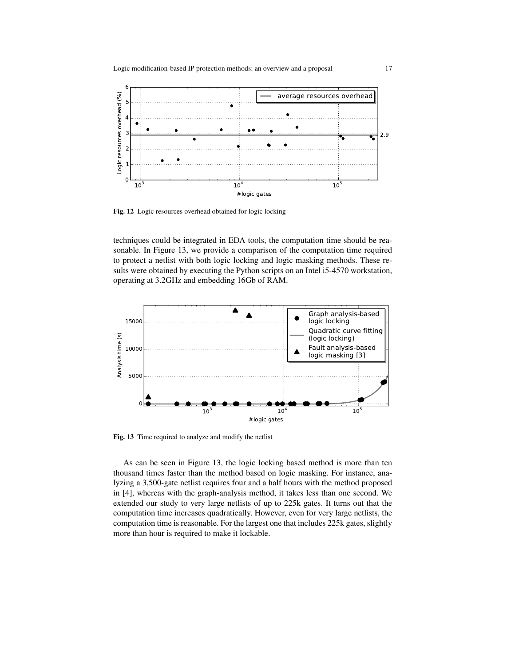

Fig. 12 Logic resources overhead obtained for logic locking

techniques could be integrated in EDA tools, the computation time should be reasonable. In Figure 13, we provide a comparison of the computation time required to protect a netlist with both logic locking and logic masking methods. These results were obtained by executing the Python scripts on an Intel i5-4570 workstation, operating at 3.2GHz and embedding 16Gb of RAM.



Fig. 13 Time required to analyze and modify the netlist

As can be seen in Figure 13, the logic locking based method is more than ten thousand times faster than the method based on logic masking. For instance, analyzing a 3,500-gate netlist requires four and a half hours with the method proposed in [4], whereas with the graph-analysis method, it takes less than one second. We extended our study to very large netlists of up to 225k gates. It turns out that the computation time increases quadratically. However, even for very large netlists, the computation time is reasonable. For the largest one that includes 225k gates, slightly more than hour is required to make it lockable.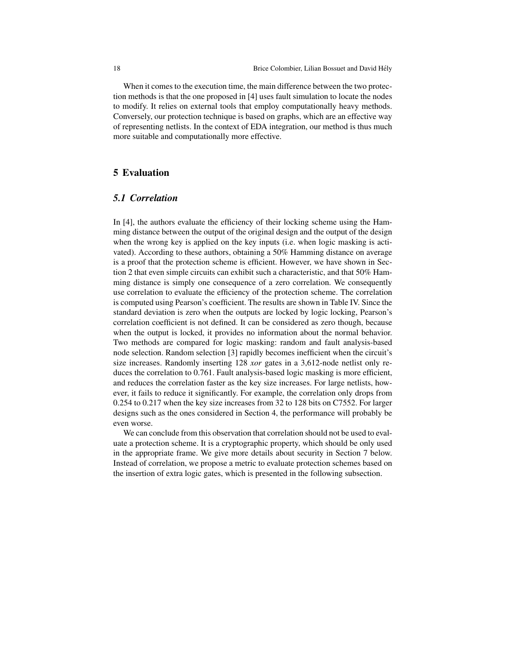When it comes to the execution time, the main difference between the two protection methods is that the one proposed in [4] uses fault simulation to locate the nodes to modify. It relies on external tools that employ computationally heavy methods. Conversely, our protection technique is based on graphs, which are an effective way of representing netlists. In the context of EDA integration, our method is thus much more suitable and computationally more effective.

## 5 Evaluation

## *5.1 Correlation*

In [4], the authors evaluate the efficiency of their locking scheme using the Hamming distance between the output of the original design and the output of the design when the wrong key is applied on the key inputs (i.e. when logic masking is activated). According to these authors, obtaining a 50% Hamming distance on average is a proof that the protection scheme is efficient. However, we have shown in Section 2 that even simple circuits can exhibit such a characteristic, and that 50% Hamming distance is simply one consequence of a zero correlation. We consequently use correlation to evaluate the efficiency of the protection scheme. The correlation is computed using Pearson's coefficient. The results are shown in Table IV. Since the standard deviation is zero when the outputs are locked by logic locking, Pearson's correlation coefficient is not defined. It can be considered as zero though, because when the output is locked, it provides no information about the normal behavior. Two methods are compared for logic masking: random and fault analysis-based node selection. Random selection [3] rapidly becomes inefficient when the circuit's size increases. Randomly inserting 128 *xor* gates in a 3,612-node netlist only reduces the correlation to 0.761. Fault analysis-based logic masking is more efficient, and reduces the correlation faster as the key size increases. For large netlists, however, it fails to reduce it significantly. For example, the correlation only drops from 0.254 to 0.217 when the key size increases from 32 to 128 bits on C7552. For larger designs such as the ones considered in Section 4, the performance will probably be even worse.

We can conclude from this observation that correlation should not be used to evaluate a protection scheme. It is a cryptographic property, which should be only used in the appropriate frame. We give more details about security in Section 7 below. Instead of correlation, we propose a metric to evaluate protection schemes based on the insertion of extra logic gates, which is presented in the following subsection.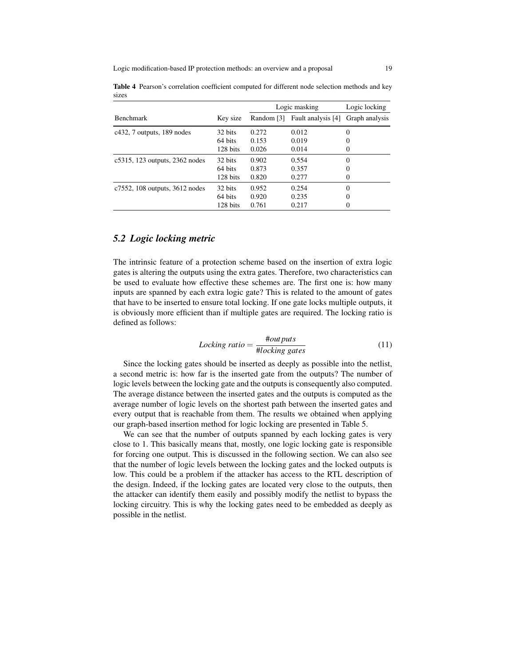|                                   |          | Logic masking |                               | Logic locking    |  |
|-----------------------------------|----------|---------------|-------------------------------|------------------|--|
| <b>Benchmark</b>                  | Key size |               | Random [3] Fault analysis [4] | Graph analysis   |  |
| c432, 7 outputs, 189 nodes        | 32 bits  | 0.272         | 0.012                         | $\left( \right)$ |  |
|                                   | 64 bits  | 0.153         | 0.019                         |                  |  |
|                                   | 128 bits | 0.026         | 0.014                         |                  |  |
| c5315, 123 outputs, 2362 nodes    | 32 bits  | 0.902         | 0.554                         | $\left( \right)$ |  |
|                                   | 64 bits  | 0.873         | 0.357                         |                  |  |
|                                   | 128 bits | 0.820         | 0.277                         |                  |  |
| $c7552$ , 108 outputs, 3612 nodes | 32 bits  | 0.952         | 0.254                         | 0                |  |
|                                   | 64 bits  | 0.920         | 0.235                         | 0                |  |
|                                   | 128 bits | 0.761         | 0.217                         |                  |  |

Table 4 Pearson's correlation coefficient computed for different node selection methods and key sizes

#### *5.2 Logic locking metric*

The intrinsic feature of a protection scheme based on the insertion of extra logic gates is altering the outputs using the extra gates. Therefore, two characteristics can be used to evaluate how effective these schemes are. The first one is: how many inputs are spanned by each extra logic gate? This is related to the amount of gates that have to be inserted to ensure total locking. If one gate locks multiple outputs, it is obviously more efficient than if multiple gates are required. The locking ratio is defined as follows:

$$
Locking ratio = \frac{\text{#out puts}}{\text{Hlocking gates}}\tag{11}
$$

Since the locking gates should be inserted as deeply as possible into the netlist, a second metric is: how far is the inserted gate from the outputs? The number of logic levels between the locking gate and the outputs is consequently also computed. The average distance between the inserted gates and the outputs is computed as the average number of logic levels on the shortest path between the inserted gates and every output that is reachable from them. The results we obtained when applying our graph-based insertion method for logic locking are presented in Table 5.

We can see that the number of outputs spanned by each locking gates is very close to 1. This basically means that, mostly, one logic locking gate is responsible for forcing one output. This is discussed in the following section. We can also see that the number of logic levels between the locking gates and the locked outputs is low. This could be a problem if the attacker has access to the RTL description of the design. Indeed, if the locking gates are located very close to the outputs, then the attacker can identify them easily and possibly modify the netlist to bypass the locking circuitry. This is why the locking gates need to be embedded as deeply as possible in the netlist.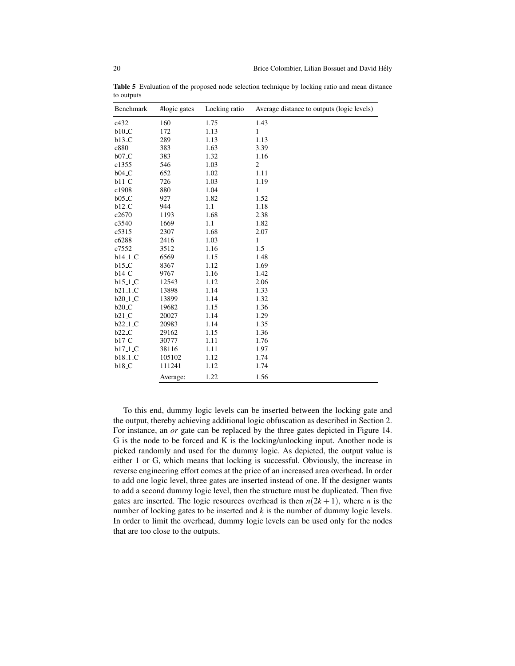| Benchmark | #logic gates | Locking ratio | Average distance to outputs (logic levels) |
|-----------|--------------|---------------|--------------------------------------------|
| c432      | 160          | 1.75          | 1.43                                       |
| $b10_C$   | 172          | 1.13          | $\mathbf{1}$                               |
| $b13_C$   | 289          | 1.13          | 1.13                                       |
| c880      | 383          | 1.63          | 3.39                                       |
| $b07_C$   | 383          | 1.32          | 1.16                                       |
| c1355     | 546          | 1.03          | 2                                          |
| $b04_C$   | 652          | 1.02          | 1.11                                       |
| $b11_C$   | 726          | 1.03          | 1.19                                       |
| c1908     | 880          | 1.04          | $\mathbf{1}$                               |
| $b05_C$   | 927          | 1.82          | 1.52                                       |
| $b12_C$   | 944          | 1.1           | 1.18                                       |
| c2670     | 1193         | 1.68          | 2.38                                       |
| c3540     | 1669         | 1.1           | 1.82                                       |
| c5315     | 2307         | 1.68          | 2.07                                       |
| c6288     | 2416         | 1.03          | $\mathbf{1}$                               |
| c7552     | 3512         | 1.16          | 1.5                                        |
| $b14-1-C$ | 6569         | 1.15          | 1.48                                       |
| $b15_C$   | 8367         | 1.12          | 1.69                                       |
| $b14_C$   | 9767         | 1.16          | 1.42                                       |
| b15.1.C   | 12543        | 1.12          | 2.06                                       |
| $b21-1-C$ | 13898        | 1.14          | 1.33                                       |
| $b20_1C$  | 13899        | 1.14          | 1.32                                       |
| $b20_C$   | 19682        | 1.15          | 1.36                                       |
| $b21_C$   | 20027        | 1.14          | 1.29                                       |
| b22.1.C   | 20983        | 1.14          | 1.35                                       |
| $b22_C$   | 29162        | 1.15          | 1.36                                       |
| $b17_C$   | 30777        | 1.11          | 1.76                                       |
| $b17-1-C$ | 38116        | 1.11          | 1.97                                       |
| $b18.1_C$ | 105102       | 1.12          | 1.74                                       |
| $b18_C$   | 111241       | 1.12          | 1.74                                       |
|           | Average:     | 1.22          | 1.56                                       |

Table 5 Evaluation of the proposed node selection technique by locking ratio and mean distance to outputs

To this end, dummy logic levels can be inserted between the locking gate and the output, thereby achieving additional logic obfuscation as described in Section 2. For instance, an *or* gate can be replaced by the three gates depicted in Figure 14. G is the node to be forced and K is the locking/unlocking input. Another node is picked randomly and used for the dummy logic. As depicted, the output value is either 1 or G, which means that locking is successful. Obviously, the increase in reverse engineering effort comes at the price of an increased area overhead. In order to add one logic level, three gates are inserted instead of one. If the designer wants to add a second dummy logic level, then the structure must be duplicated. Then five gates are inserted. The logic resources overhead is then  $n(2k+1)$ , where *n* is the number of locking gates to be inserted and *k* is the number of dummy logic levels. In order to limit the overhead, dummy logic levels can be used only for the nodes that are too close to the outputs.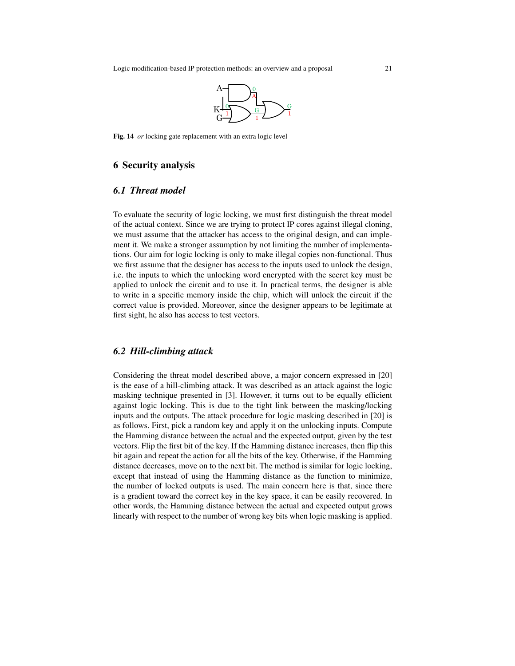

Fig. 14 *or* locking gate replacement with an extra logic level

# 6 Security analysis

## *6.1 Threat model*

To evaluate the security of logic locking, we must first distinguish the threat model of the actual context. Since we are trying to protect IP cores against illegal cloning, we must assume that the attacker has access to the original design, and can implement it. We make a stronger assumption by not limiting the number of implementations. Our aim for logic locking is only to make illegal copies non-functional. Thus we first assume that the designer has access to the inputs used to unlock the design, i.e. the inputs to which the unlocking word encrypted with the secret key must be applied to unlock the circuit and to use it. In practical terms, the designer is able to write in a specific memory inside the chip, which will unlock the circuit if the correct value is provided. Moreover, since the designer appears to be legitimate at first sight, he also has access to test vectors.

# *6.2 Hill-climbing attack*

Considering the threat model described above, a major concern expressed in [20] is the ease of a hill-climbing attack. It was described as an attack against the logic masking technique presented in [3]. However, it turns out to be equally efficient against logic locking. This is due to the tight link between the masking/locking inputs and the outputs. The attack procedure for logic masking described in [20] is as follows. First, pick a random key and apply it on the unlocking inputs. Compute the Hamming distance between the actual and the expected output, given by the test vectors. Flip the first bit of the key. If the Hamming distance increases, then flip this bit again and repeat the action for all the bits of the key. Otherwise, if the Hamming distance decreases, move on to the next bit. The method is similar for logic locking, except that instead of using the Hamming distance as the function to minimize, the number of locked outputs is used. The main concern here is that, since there is a gradient toward the correct key in the key space, it can be easily recovered. In other words, the Hamming distance between the actual and expected output grows linearly with respect to the number of wrong key bits when logic masking is applied.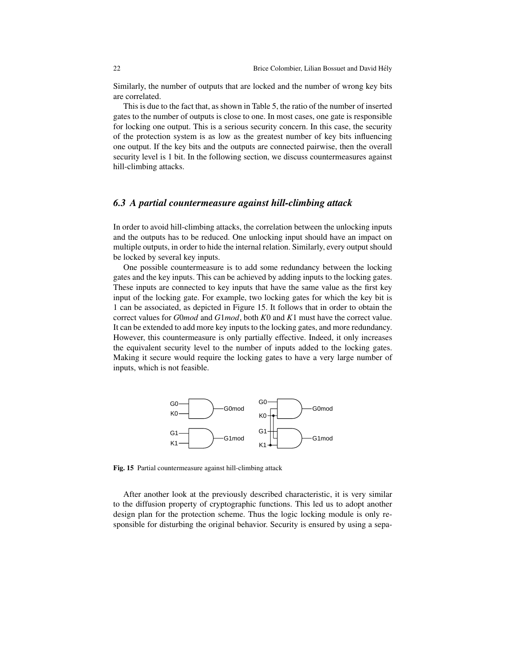Similarly, the number of outputs that are locked and the number of wrong key bits are correlated.

This is due to the fact that, as shown in Table 5, the ratio of the number of inserted gates to the number of outputs is close to one. In most cases, one gate is responsible for locking one output. This is a serious security concern. In this case, the security of the protection system is as low as the greatest number of key bits influencing one output. If the key bits and the outputs are connected pairwise, then the overall security level is 1 bit. In the following section, we discuss countermeasures against hill-climbing attacks.

## *6.3 A partial countermeasure against hill-climbing attack*

In order to avoid hill-climbing attacks, the correlation between the unlocking inputs and the outputs has to be reduced. One unlocking input should have an impact on multiple outputs, in order to hide the internal relation. Similarly, every output should be locked by several key inputs.

One possible countermeasure is to add some redundancy between the locking gates and the key inputs. This can be achieved by adding inputs to the locking gates. These inputs are connected to key inputs that have the same value as the first key input of the locking gate. For example, two locking gates for which the key bit is 1 can be associated, as depicted in Figure 15. It follows that in order to obtain the correct values for *G*0*mod* and *G*1*mod*, both *K*0 and *K*1 must have the correct value. It can be extended to add more key inputs to the locking gates, and more redundancy. However, this countermeasure is only partially effective. Indeed, it only increases the equivalent security level to the number of inputs added to the locking gates. Making it secure would require the locking gates to have a very large number of inputs, which is not feasible.



Fig. 15 Partial countermeasure against hill-climbing attack

After another look at the previously described characteristic, it is very similar to the diffusion property of cryptographic functions. This led us to adopt another design plan for the protection scheme. Thus the logic locking module is only responsible for disturbing the original behavior. Security is ensured by using a sepa-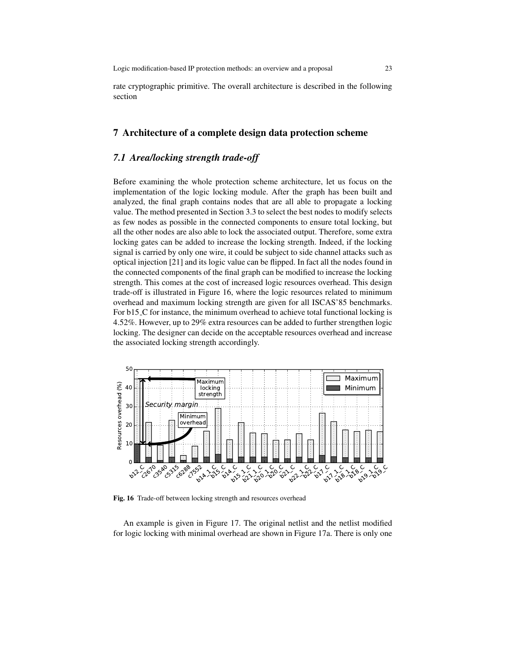rate cryptographic primitive. The overall architecture is described in the following section

#### 7 Architecture of a complete design data protection scheme

## *7.1 Area/locking strength trade-off*

Before examining the whole protection scheme architecture, let us focus on the implementation of the logic locking module. After the graph has been built and analyzed, the final graph contains nodes that are all able to propagate a locking value. The method presented in Section 3.3 to select the best nodes to modify selects as few nodes as possible in the connected components to ensure total locking, but all the other nodes are also able to lock the associated output. Therefore, some extra locking gates can be added to increase the locking strength. Indeed, if the locking signal is carried by only one wire, it could be subject to side channel attacks such as optical injection [21] and its logic value can be flipped. In fact all the nodes found in the connected components of the final graph can be modified to increase the locking strength. This comes at the cost of increased logic resources overhead. This design trade-off is illustrated in Figure 16, where the logic resources related to minimum overhead and maximum locking strength are given for all ISCAS'85 benchmarks. For b15 C for instance, the minimum overhead to achieve total functional locking is 4.52%. However, up to 29% extra resources can be added to further strengthen logic locking. The designer can decide on the acceptable resources overhead and increase the associated locking strength accordingly.



Fig. 16 Trade-off between locking strength and resources overhead

An example is given in Figure 17. The original netlist and the netlist modified for logic locking with minimal overhead are shown in Figure 17a. There is only one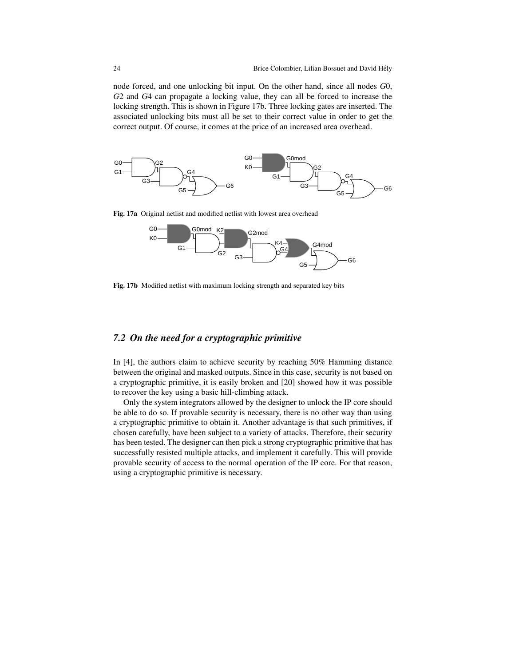node forced, and one unlocking bit input. On the other hand, since all nodes *G*0, *G*2 and *G*4 can propagate a locking value, they can all be forced to increase the locking strength. This is shown in Figure 17b. Three locking gates are inserted. The associated unlocking bits must all be set to their correct value in order to get the correct output. Of course, it comes at the price of an increased area overhead.



Fig. 17a Original netlist and modified netlist with lowest area overhead



Fig. 17b Modified netlist with maximum locking strength and separated key bits

# *7.2 On the need for a cryptographic primitive*

In [4], the authors claim to achieve security by reaching 50% Hamming distance between the original and masked outputs. Since in this case, security is not based on a cryptographic primitive, it is easily broken and [20] showed how it was possible to recover the key using a basic hill-climbing attack.

Only the system integrators allowed by the designer to unlock the IP core should be able to do so. If provable security is necessary, there is no other way than using a cryptographic primitive to obtain it. Another advantage is that such primitives, if chosen carefully, have been subject to a variety of attacks. Therefore, their security has been tested. The designer can then pick a strong cryptographic primitive that has successfully resisted multiple attacks, and implement it carefully. This will provide provable security of access to the normal operation of the IP core. For that reason, using a cryptographic primitive is necessary.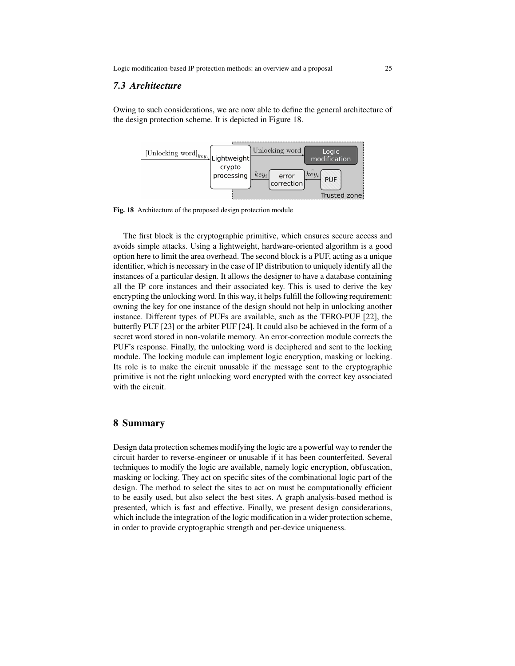### *7.3 Architecture*

Owing to such considerations, we are now able to define the general architecture of the design protection scheme. It is depicted in Figure 18.



Fig. 18 Architecture of the proposed design protection module

The first block is the cryptographic primitive, which ensures secure access and avoids simple attacks. Using a lightweight, hardware-oriented algorithm is a good option here to limit the area overhead. The second block is a PUF, acting as a unique identifier, which is necessary in the case of IP distribution to uniquely identify all the instances of a particular design. It allows the designer to have a database containing all the IP core instances and their associated key. This is used to derive the key encrypting the unlocking word. In this way, it helps fulfill the following requirement: owning the key for one instance of the design should not help in unlocking another instance. Different types of PUFs are available, such as the TERO-PUF [22], the butterfly PUF [23] or the arbiter PUF [24]. It could also be achieved in the form of a secret word stored in non-volatile memory. An error-correction module corrects the PUF's response. Finally, the unlocking word is deciphered and sent to the locking module. The locking module can implement logic encryption, masking or locking. Its role is to make the circuit unusable if the message sent to the cryptographic primitive is not the right unlocking word encrypted with the correct key associated with the circuit.

## 8 Summary

Design data protection schemes modifying the logic are a powerful way to render the circuit harder to reverse-engineer or unusable if it has been counterfeited. Several techniques to modify the logic are available, namely logic encryption, obfuscation, masking or locking. They act on specific sites of the combinational logic part of the design. The method to select the sites to act on must be computationally efficient to be easily used, but also select the best sites. A graph analysis-based method is presented, which is fast and effective. Finally, we present design considerations, which include the integration of the logic modification in a wider protection scheme, in order to provide cryptographic strength and per-device uniqueness.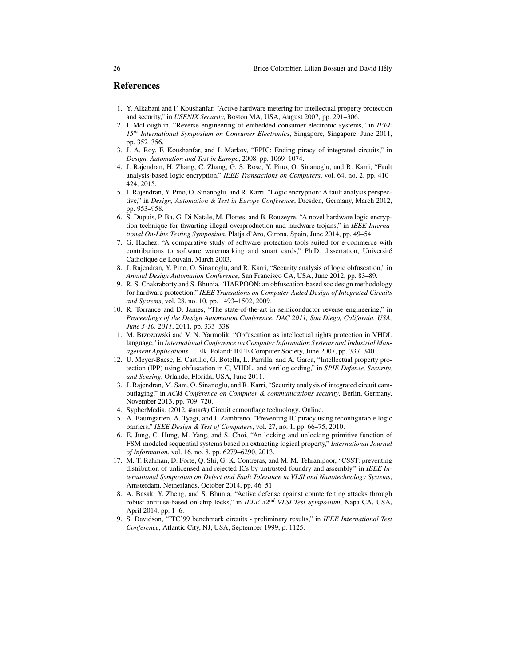#### References

- 1. Y. Alkabani and F. Koushanfar, "Active hardware metering for intellectual property protection and security," in *USENIX Security*, Boston MA, USA, August 2007, pp. 291–306.
- 2. I. McLoughlin, "Reverse engineering of embedded consumer electronic systems," in *IEEE 15th International Symposium on Consumer Electronics*, Singapore, Singapore, June 2011, pp. 352–356.
- 3. J. A. Roy, F. Koushanfar, and I. Markov, "EPIC: Ending piracy of integrated circuits," in *Design, Automation and Test in Europe*, 2008, pp. 1069–1074.
- 4. J. Rajendran, H. Zhang, C. Zhang, G. S. Rose, Y. Pino, O. Sinanoglu, and R. Karri, "Fault analysis-based logic encryption," *IEEE Transactions on Computers*, vol. 64, no. 2, pp. 410– 424, 2015.
- 5. J. Rajendran, Y. Pino, O. Sinanoglu, and R. Karri, "Logic encryption: A fault analysis perspective," in *Design, Automation & Test in Europe Conference*, Dresden, Germany, March 2012, pp. 953–958.
- 6. S. Dupuis, P. Ba, G. Di Natale, M. Flottes, and B. Rouzeyre, "A novel hardware logic encryption technique for thwarting illegal overproduction and hardware trojans," in *IEEE International On-Line Testing Symposium*, Platja d'Aro, Girona, Spain, June 2014, pp. 49–54.
- 7. G. Hachez, "A comparative study of software protection tools suited for e-commerce with contributions to software watermarking and smart cards," Ph.D. dissertation, Universite´ Catholique de Louvain, March 2003.
- 8. J. Rajendran, Y. Pino, O. Sinanoglu, and R. Karri, "Security analysis of logic obfuscation," in *Annual Design Automation Conference*, San Francisco CA, USA, June 2012, pp. 83–89.
- 9. R. S. Chakraborty and S. Bhunia, "HARPOON: an obfuscation-based soc design methodology for hardware protection," *IEEE Transations on Computer-Aided Design of Integrated Circuits and Systems*, vol. 28, no. 10, pp. 1493–1502, 2009.
- 10. R. Torrance and D. James, "The state-of-the-art in semiconductor reverse engineering," in *Proceedings of the Design Automation Conference, DAC 2011, San Diego, California, USA, June 5-10, 2011*, 2011, pp. 333–338.
- 11. M. Brzozowski and V. N. Yarmolik, "Obfuscation as intellectual rights protection in VHDL language," in *International Conference on Computer Information Systems and Industrial Management Applications*. Elk, Poland: IEEE Computer Society, June 2007, pp. 337–340.
- 12. U. Meyer-Baese, E. Castillo, G. Botella, L. Parrilla, and A. Garca, "Intellectual property protection (IPP) using obfuscation in C, VHDL, and verilog coding," in *SPIE Defense, Security, and Sensing*, Orlando, Florida, USA, June 2011.
- 13. J. Rajendran, M. Sam, O. Sinanoglu, and R. Karri, "Security analysis of integrated circuit camouflaging," in *ACM Conference on Computer & communications security*, Berlin, Germany, November 2013, pp. 709–720.
- 14. SypherMedia. (2012, #mar#) Circuit camouflage technology. Online.
- 15. A. Baumgarten, A. Tyagi, and J. Zambreno, "Preventing IC piracy using reconfigurable logic barriers," *IEEE Design & Test of Computers*, vol. 27, no. 1, pp. 66–75, 2010.
- 16. E. Jung, C. Hung, M. Yang, and S. Choi, "An locking and unlocking primitive function of FSM-modeled sequential systems based on extracting logical property," *International Journal of Information*, vol. 16, no. 8, pp. 6279–6290, 2013.
- 17. M. T. Rahman, D. Forte, Q. Shi, G. K. Contreras, and M. M. Tehranipoor, "CSST: preventing distribution of unlicensed and rejected ICs by untrusted foundry and assembly," in *IEEE International Symposium on Defect and Fault Tolerance in VLSI and Nanotechnology Systems*, Amsterdam, Netherlands, October 2014, pp. 46–51.
- 18. A. Basak, Y. Zheng, and S. Bhunia, "Active defense against counterfeiting attacks through robust antifuse-based on-chip locks," in *IEEE 32nd VLSI Test Symposium*, Napa CA, USA, April 2014, pp. 1–6.
- 19. S. Davidson, "ITC'99 benchmark circuits preliminary results," in *IEEE International Test Conference*, Atlantic City, NJ, USA, September 1999, p. 1125.